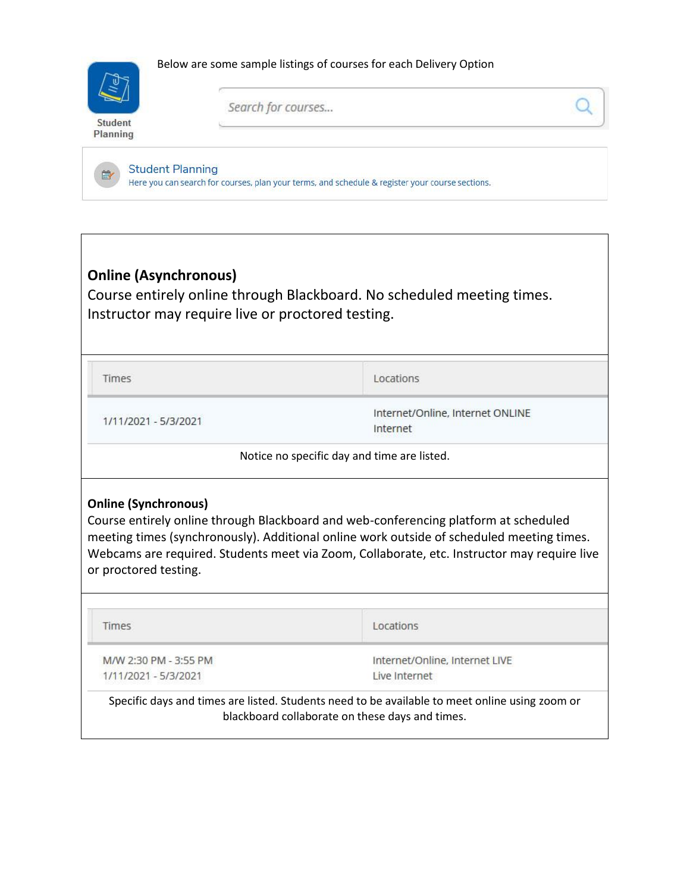



m<sub>2</sub>

Search for courses...

**Student Planning** Here you can search for courses, plan your terms, and schedule & register your course sections.

## **Online (Asynchronous)**

Course entirely online through Blackboard. No scheduled meeting times. Instructor may require live or proctored testing.

Times

Locations

1/11/2021 - 5/3/2021

Internet/Online, Internet ONLINE Internet

Notice no specific day and time are listed.

## **Online (Synchronous)**

Course entirely online through Blackboard and web-conferencing platform at scheduled meeting times (synchronously). Additional online work outside of scheduled meeting times. Webcams are required. Students meet via Zoom, Collaborate, etc. Instructor may require live or proctored testing.

Times

Locations

M/W 2:30 PM - 3:55 PM 1/11/2021 - 5/3/2021

Internet/Online, Internet LIVE Live Internet

Specific days and times are listed. Students need to be available to meet online using zoom or blackboard collaborate on these days and times.